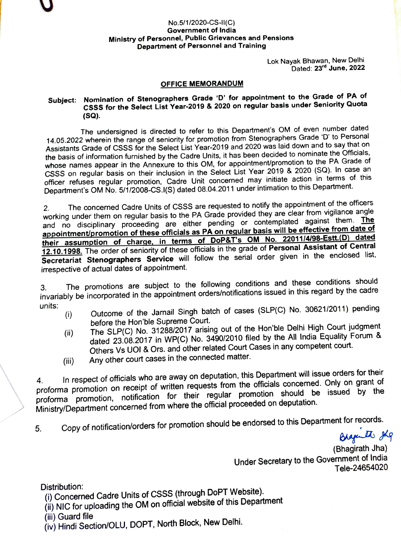## No.5/1/2020-CS-II(C) Government of India Ministry of Personnel, Public Grievances and Pensions Department of Personnel and Training

Lok Nayak Bhawan, New Delhi Dated: 23<sup>rd</sup> June, 2022

## OFFICE MEMORANDUM

## Subject: Nomination of Stenographers Grade 'D' for appointment to the Grade of PA of CSSS for the Select List Year-2019 & 2020 on regular basis under Seniority Quota (Sa).

The undersigned is directed to refer to this Department's OM of even number dated 14.05.2022 wherein the range of seniority for promotion from Stenographers Grade 'D' to Personal Assistants Grade of CSSS for the Select List Year-2019 and 2020 was laid down and to say that on the basis of information furnished by the Cadre Units, it has been decided to nominate the Officials, whose names appear in the Annexure to this OM, for appointment/promotion to the PA Grade of CSSS on regular basis on their inclusion in the Select List Year 2019 & 2020 (SQ). In case an officer refuses regular promotion, Cadre Unit concerned may initiate action in terms of this Department's OM No. 5/1/2008-CS.I(S) dated 08.04.2011 under intimation to this Department.

2. The concerned Cadre Units of CSSS are requested to notify the appointment of the officers working under them on regular basis to the PA Grade provided they are clear from vigilance angle and no disciplinary proceeding are either pending or contemplated against them. The appointment/promotion of these officials as PA on regular basis will be effective from date of their assumption of charge, in terms of DoP&T's OM No. 22011/4/98-Estt.(D) dated 12.10.1998. The order of seniority of these officials in the grade of Personal Assistant of Central Secretariat Stenographers Service will follow the serial order given in the enclosed list, irrespective of actual dates of appointment.

3. The promotions are subject to the following conditions and these conditions should invariably be incorporated in the appointment orders/notifications issued in this regard by the cadre units:

- Outcome of the Jarnail Singh batch of cases (SLP(C) No. 30621/2011) pending before the Hon'ble Supreme Court.  $(i)$
- The SLP(C) No. 31288/2017 arising out of the Hon'ble Delhi High Court judgment dated 23.08.2017 in WP(C) No. 3490/2010 filed by the All India Equality Forum & Others Vs UOl & Ors. and other related Court Cases in any competent court. (i)
- Any other court cases in the connected matter. (ii)

In respect of officials who are away on deputation, this Department will issue orders for their proforma promotion on receipt of written requests from the officials concerned. Only on grant of Ministry/Department concerned from where the official proceeded on deputation. proforma promotion, notification for their regular promotion should be issued by the

5. Copy of notification/orders for promotion should be endorsed to this Department for records.<br>ویکن بالکشتههای

(Bhagirath Jha) Under Secretary to the Government of India Tele-24654020

Distribution:

i) Concerned Cadre Units of CSSs (through DoPT Website).

- (i) NIC for uploading the OM on official website of this Department
- (ii) Guard file
- (iv) Hindi Section/OLU, DOPT, North Block, New Delhi.